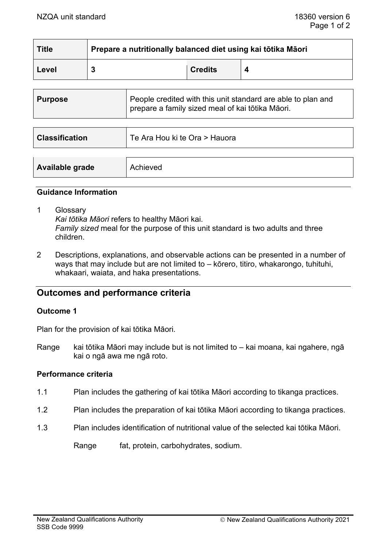| <b>Title</b> | Prepare a nutritionally balanced diet using kai tōtika Māori |                |  |
|--------------|--------------------------------------------------------------|----------------|--|
| Level        |                                                              | <b>Credits</b> |  |

| <b>Purpose</b>        | People credited with this unit standard are able to plan and<br>prepare a family sized meal of kai tōtika Māori. |  |
|-----------------------|------------------------------------------------------------------------------------------------------------------|--|
|                       |                                                                                                                  |  |
| <b>Classification</b> | Te Ara Hou ki te Ora > Hauora                                                                                    |  |

|  | Available grade<br>Achieved |  |
|--|-----------------------------|--|
|--|-----------------------------|--|

#### **Guidance Information**

1 Glossary

*Kai tōtika Māori* refers to healthy Māori kai. *Family sized* meal for the purpose of this unit standard is two adults and three children.

2 Descriptions, explanations, and observable actions can be presented in a number of ways that may include but are not limited to – kōrero, titiro, whakarongo, tuhituhi, whakaari, waiata, and haka presentations.

# **Outcomes and performance criteria**

### **Outcome 1**

Plan for the provision of kai tōtika Māori.

Range kai tōtika Māori may include but is not limited to – kai moana, kai ngahere, ngā kai o ngā awa me ngā roto.

# **Performance criteria**

- 1.1 Plan includes the gathering of kai tōtika Māori according to tikanga practices.
- 1.2 Plan includes the preparation of kai tōtika Māori according to tikanga practices.
- 1.3 Plan includes identification of nutritional value of the selected kai tōtika Māori.

Range fat, protein, carbohydrates, sodium.